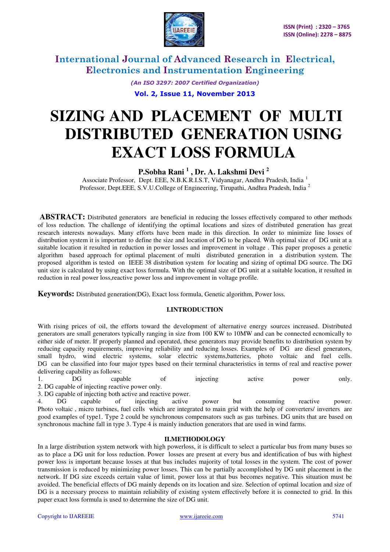

> *(An ISO 3297: 2007 Certified Organization)*  **Vol. 2, Issue 11, November 2013**

# **SIZING AND PLACEMENT OF MULTI DISTRIBUTED GENERATION USING EXACT LOSS FORMULA**

# **P.Sobha Rani <sup>1</sup> , Dr. A. Lakshmi Devi <sup>2</sup>**

Associate Professor, Dept. EEE, N.B.K.R.I.S.T, Vidyanagar, Andhra Pradesh, India <sup>1</sup> Professor, Dept.EEE, S.V.U.College of Engineering, Tirupathi, Andhra Pradesh, India <sup>2</sup>

 **ABSTRACT:** Distributed generators are beneficial in reducing the losses effectively compared to other methods of loss reduction. The challenge of identifying the optimal locations and sizes of distributed generation has great research interests nowadays. Many efforts have been made in this direction. In order to minimize line losses of distribution system it is important to define the size and location of DG to be placed. Wih optimal size of DG unit at a suitable location it resulted in reduction in power losses and improvement in voltage . This paper proposes a genetic algorithm based approach for optimal placement of multi distributed generation in a distribution system. The proposed algorithm is tested on IEEE 38 distribution system for locating and sizing of optimal DG source. The DG unit size is calculated by using exact loss formula. With the optimal size of DG unit at a suitable location, it resulted in reduction in real power loss,reactive power loss and improvement in voltage profile.

**Keywords:** Distributed generation(DG), Exact loss formula, Genetic algorithm, Power loss.

## **I.INTRODUCTION**

With rising prices of oil, the efforts toward the development of alternative energy sources increased. Distributed generators are small generators typically ranging in size from 100 KW to 10MW and can be connected ecnomically to either side of meter. If properly planned and operated, these generators may provide benefits to distribution system by reducing capacity requirements, improving reliability and reducing losses. Examples of DG are diesel generators, small hydro, wind electric systems, solar electric systems,batteries, photo voltaic and fuel cells. DG can be classified into four major types based on their terminal characteristics in terms of real and reactive power delivering capability as follows:

1. DG capable of injecting active power only.

2. DG capable of injecting reactive power only.

3. DG capable of injecting both active and reactive power.

4. DG capable of injecting active power but consuming reactive power. Photo voltaic , micro turbines, fuel cells which are integrated to main grid with the help of converters/ inverters are good examples of type1. Type 2 could be synchronous compensators such as gas turbines. DG units that are based on synchronous machine fall in type 3. Type 4 is mainly induction generators that are used in wind farms.

## **II.METHODOLOGY**

In a large distribution system network with high powerloss, it is difficult to select a particular bus from many buses so as to place a DG unit for loss reduction. Power losses are present at every bus and identification of bus with highest power loss is important because losses at that bus includes majority of total losses in the system. The cost of power transmission is reduced by minimizing power losses. This can be partially accomplished by DG unit placement in the network. If DG size exceeds certain value of limit, power loss at that bus becomes negative. This situation must be avoided. The beneficial effects of DG mainly depends on its location and size. Selection of optimal location and size of DG is a necessary process to maintain reliability of existing system effectively before it is connected to grid. In this paper exact loss formula is used to determine the size of DG unit.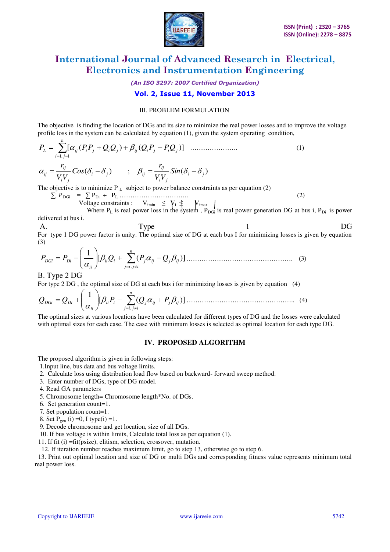

*(An ISO 3297: 2007 Certified Organization)* 

# **Vol. 2, Issue 11, November 2013**

## III. PROBLEM FORMULATION

The objective is finding the location of DGs and its size to minimize the real power losses and to improve the voltage profile loss in the system can be calculated by equation (1), given the system operating condition,

 *n ji P<sup>L</sup> ij PPji Q Qji ij Q Pji PQji* 1,1 [ ( ) ( )] …………………. (1) ( ) *<sup>i</sup> <sup>j</sup> ji ij ij Cos VV r* ; ( ) *i j ji ij ij Sin VV r* 

The objective is to minimize  $P_L$  subject to power balance constraints as per equation (2)

 $\sum P_{\text{DGi}} = \sum P_{\text{Di}} + P_{\text{L}} \dots \dots \dots \dots \dots \dots \dots \dots \tag{2}$ Voltage constraints :  $V_{\text{imin}} \leq V_i \leq V_{\text{imax}}$ 

Where  $P_L$  is real power loss in the system,  $P_{DGI}$  is real power generation DG at bus i,  $P_{Di}$  is power delivered at bus i.

A. Type 1 DG For type 1 DG power factor is unity. The optimal size of DG at each bus I for minimizing losses is given by equation (3)

$$
P_{DGi} = P_{Di} - \left(\frac{1}{\alpha_{ii}}\right) \left[\beta_{ii} Q_i + \sum_{j=i, j\neq i}^{n} (P_j \alpha_{ij} - Q_j \beta_{ij})\right] \dots \dots \dots \dots \dots \dots \dots \dots \dots \dots \tag{3}
$$

#### B. Type 2 DG

For type 2 DG , the optimal size of DG at each bus i for minimizing losses is given by equation (4)

 *n ijij ii i j ij j ij ii QDGi QDi P Q P* , [ ( )] <sup>1</sup> ………………………………………….. (4)

The optimal sizes at various locations have been calculated for different types of DG and the losses were calculated with optimal sizes for each case. The case with minimum losses is selected as optimal location for each type DG.

#### **IV. PROPOSED ALGORITHM**

The proposed algorithm is given in following steps:

- 1.Input line, bus data and bus voltage limits.
- 2. Calculate loss using distribution load flow based on backward- forward sweep method.
- 3. Enter number of DGs, type of DG model.
- 4. Read GA parameters
- 5. Chromosome length= Chromosome length\*No. of DGs.
- 6. Set generation count=1.
- 7. Set population count=1.
- 8. Set  $P_{gen}$  (i) =0, I type(i) =1.
- 9. Decode chromosome and get location, size of all DGs.

10. If bus voltage is within limits, Calculate total loss as per equation (1).

11. If fit (i) =fit(psize), elitism, selection, crossover, mutation.

12. If iteration number reaches maximum limit, go to step 13, otherwise go to step 6.

 13. Print out optimal location and size of DG or multi DGs and corresponding fitness value represents minimum total real power loss.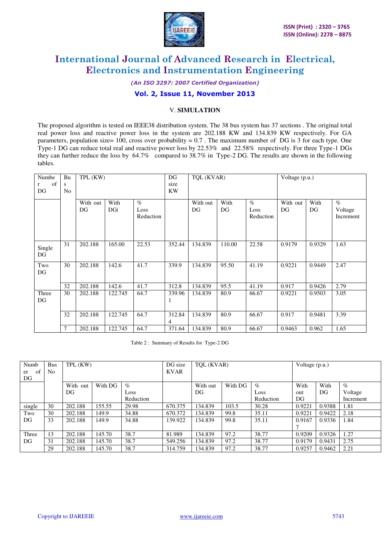

*(An ISO 3297: 2007 Certified Organization)* 

# **Vol. 2, Issue 11, November 2013**

## V. **SIMULATION**

The proposed algorithm is tested on IEEE38 distribution system. The 38 bus system has 37 sections . The original total real power loss and reactive power loss in the system are 202.188 KW and 134.839 KW respectively. For GA parameters, population size=  $100$ , cross over probability = 0.7. The maximum number of DG is 3 for each type. One Type-1 DG can reduce total real and reactive power loss by 22.53% and 22.58% respectively. For three Type-1 DGs they can further reduce the loss by 64.7% compared to 38.7% in Type-2 DG. The results are shown in the following tables.

| Numbe   | Bu | TPL (KW) |         |           | DG     | TQL (KVAR) |        |           | Voltage (p.u.) |        |                 |
|---------|----|----------|---------|-----------|--------|------------|--------|-----------|----------------|--------|-----------------|
| of<br>r | S  |          |         |           | size   |            |        |           |                |        |                 |
| DG      | No |          |         |           | KW     |            |        |           |                |        |                 |
|         |    |          |         |           |        |            |        |           |                |        |                 |
|         |    | With out | With    | $\%$      |        | With out   | With   | $\%$      | With out       | With   | $\mathcal{O}_0$ |
|         |    | DG       | DG(     | Loss      |        | DG         | DG     | Loss      | DG             | DG     | Voltage         |
|         |    |          |         | Reduction |        |            |        | Reduction |                |        | Increment       |
|         |    |          |         |           |        |            |        |           |                |        |                 |
|         |    |          |         |           |        |            |        |           |                |        |                 |
|         |    |          |         |           |        |            |        |           |                |        |                 |
| Single  | 31 | 202.188  | 165.00  | 22.53     | 352.44 | 134.839    | 110.00 | 22.58     | 0.9179         | 0.9329 | 1.63            |
| DG      |    |          |         |           |        |            |        |           |                |        |                 |
|         |    |          |         |           |        |            |        |           |                |        |                 |
| Two     | 30 | 202.188  | 142.6   | 41.7      | 339.9  | 134.839    | 95.50  | 41.19     | 0.9221         | 0.9449 | 2.47            |
| DG      |    |          |         |           |        |            |        |           |                |        |                 |
|         |    |          |         |           |        |            |        |           |                |        |                 |
|         | 32 | 202.188  | 142.6   | 41.7      | 312.8  | 134.839    | 95.5   | 41.19     | 0.917          | 0.9426 | 2.79            |
| Three   | 30 | 202.188  | 122.745 | 64.7      | 339.96 | 134.839    | 80.9   | 66.67     | 0.9221         | 0.9503 | 3.05            |
| DG      |    |          |         |           | 1      |            |        |           |                |        |                 |
|         |    |          |         |           |        |            |        |           |                |        |                 |
|         | 32 | 202.188  | 122.745 | 64.7      | 312.84 | 134.839    | 80.9   | 66.67     | 0.917          | 0.9481 | 3.39            |
|         |    |          |         |           | 4      |            |        |           |                |        |                 |
|         | 7  | 202.188  | 122.745 | 64.7      | 371.64 | 134.839    | 80.9   | 66.67     | 0.9463         | 0.962  | 1.65            |

Table 2 : Summary of Results for Type-2 DG

| Numb<br>of<br>er<br>DG | <b>Bus</b><br>N <sub>0</sub> | TPL (KW)    |         |           | DG size<br><b>KVAR</b> | TOL (KVAR) |         |           | Voltage (p.u.) |        |           |
|------------------------|------------------------------|-------------|---------|-----------|------------------------|------------|---------|-----------|----------------|--------|-----------|
|                        |                              | With<br>out | With DG | $\%$      |                        | With out   | With DG | $\%$      | With           | With   | $\%$      |
|                        |                              | DG          |         | Loss      |                        | DG         |         | Loss      | out            | DG     | Voltage   |
|                        |                              |             |         | Reduction |                        |            |         | Reduction | DG             |        | Increment |
| single                 | 30                           | 202.188     | 155.55  | 29.98     | 670.375                | 134.839    | 103.5   | 30.28     | 0.9221         | 0.9388 | 1.81      |
| Two                    | 30                           | 202.188     | 149.9   | 34.88     | 670.372                | 134.839    | 99.8    | 35.11     | 0.9221         | 0.9422 | 2.18      |
| DG                     | 33                           | 202.188     | 149.9   | 34.88     | 139.922                | 134.839    | 99.8    | 35.11     | 0.9167         | 0.9336 | 1.84      |
|                        |                              |             |         |           |                        |            |         |           |                |        |           |
| Three                  | 13                           | 202.188     | 145.70  | 38.7      | 81.989                 | 134.839    | 97.2    | 38.77     | 0.9209         | 0.9326 | 1.27      |
| DG                     | 31                           | 202.188     | 145.70  | 38.7      | 549.256                | 134.839    | 97.2    | 38.77     | 0.9179         | 0.9431 | 2.75      |
|                        | 29                           | 202.188     | 145.70  | 38.7      | 314.759                | 134.839    | 97.2    | 38.77     | 0.9257         | 0.9462 | 2.21      |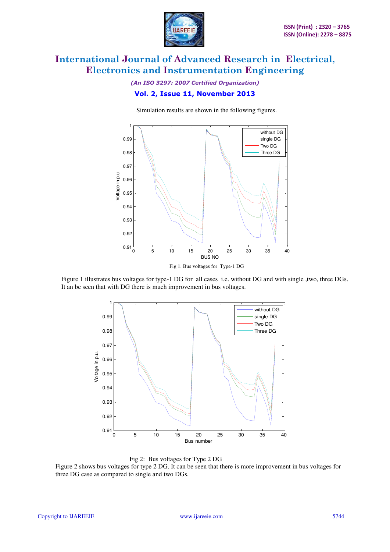

# *(An ISO 3297: 2007 Certified Organization)*  **Vol. 2, Issue 11, November 2013**

Simulation results are shown in the following figures.



Fig 1. Bus voltages for Type-1 DG

Figure 1 illustrates bus voltages for type-1 DG for all cases i.e. without DG and with single ,two, three DGs. It an be seen that with DG there is much improvement in bus voltages.



Fig 2: Bus voltages for Type 2 DG

Figure 2 shows bus voltages for type 2 DG. It can be seen that there is more improvement in bus voltages for three DG case as compared to single and two DGs.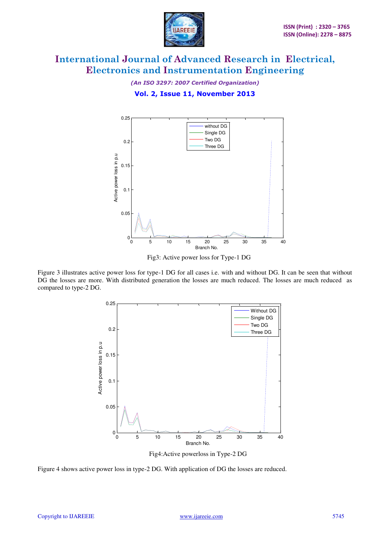

*(An ISO 3297: 2007 Certified Organization)*  **Vol. 2, Issue 11, November 2013** 



Fig3: Active power loss for Type-1 DG

Figure 3 illustrates active power loss for type-1 DG for all cases i.e. with and without DG. It can be seen that without DG the losses are more. With distributed generation the losses are much reduced. The losses are much reduced as compared to type-2 DG.



Fig4:Active powerloss in Type-2 DG

Figure 4 shows active power loss in type-2 DG. With application of DG the losses are reduced.